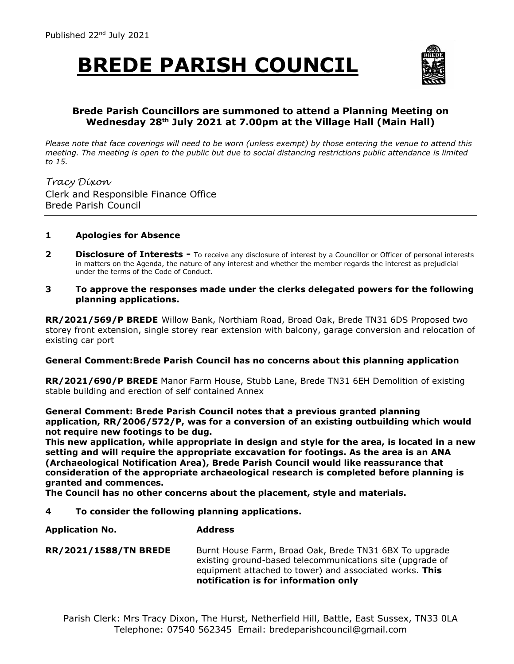## **BREDE PARISH COUNCIL**



### **Brede Parish Councillors are summoned to attend a Planning Meeting on Wednesday 28th July 2021 at 7.00pm at the Village Hall (Main Hall)**

*Please note that face coverings will need to be worn (unless exempt) by those entering the venue to attend this meeting. The meeting is open to the public but due to social distancing restrictions public attendance is limited to 15.*

*Tracy Dixon* Clerk and Responsible Finance Office Brede Parish Council

#### **1 Apologies for Absence**

- **2 Disclosure of Interests -** To receive any disclosure of interest by a Councillor or Officer of personal interests in matters on the Agenda, the nature of any interest and whether the member regards the interest as prejudicial under the terms of the Code of Conduct.
- **3 To approve the responses made under the clerks delegated powers for the following planning applications.**

**RR/2021/569/P BREDE** Willow Bank, Northiam Road, Broad Oak, Brede TN31 6DS Proposed two storey front extension, single storey rear extension with balcony, garage conversion and relocation of existing car port

#### **General Comment:Brede Parish Council has no concerns about this planning application**

**RR/2021/690/P BREDE** Manor Farm House, Stubb Lane, Brede TN31 6EH Demolition of existing stable building and erection of self contained Annex

**General Comment: Brede Parish Council notes that a previous granted planning application, RR/2006/572/P, was for a conversion of an existing outbuilding which would not require new footings to be dug.**

**This new application, while appropriate in design and style for the area, is located in a new setting and will require the appropriate excavation for footings. As the area is an ANA (Archaeological Notification Area), Brede Parish Council would like reassurance that consideration of the appropriate archaeological research is completed before planning is granted and commences.**

**The Council has no other concerns about the placement, style and materials.**

**4 To consider the following planning applications.**

**Application No. Address**

**RR/2021/1588/TN BREDE** Burnt House Farm, Broad Oak, Brede TN31 6BX To upgrade existing ground-based telecommunications site (upgrade of equipment attached to tower) and associated works. **This notification is for information only**